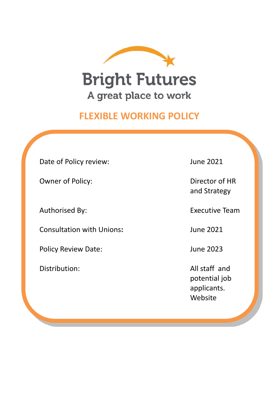

# **FLEXIBLE WORKING POLICY**

Date of Policy review: June 2021

Owner of Policy: Director of HR

Consultation with Unions**:** June 2021

Policy Review Date: June 2023

and Strategy

Authorised By: Executive Team

Distribution: All staff and potential job applicants. Website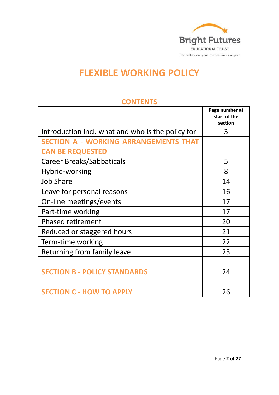

# **FLEXIBLE WORKING POLICY**

|                                                   | Page number at<br>start of the<br>section |
|---------------------------------------------------|-------------------------------------------|
| Introduction incl. what and who is the policy for | 3                                         |
| <b>SECTION A - WORKING ARRANGEMENTS THAT</b>      |                                           |
| <b>CAN BE REQUESTED</b>                           |                                           |
| Career Breaks/Sabbaticals                         | 5                                         |
| Hybrid-working                                    | 8                                         |
| <b>Job Share</b>                                  | 14                                        |
| Leave for personal reasons                        | 16                                        |
| On-line meetings/events                           | 17                                        |
| Part-time working                                 | 17                                        |
| <b>Phased retirement</b>                          | 20                                        |
| Reduced or staggered hours                        | 21                                        |
| Term-time working                                 | 22                                        |
| Returning from family leave                       | 23                                        |
|                                                   |                                           |
| <b>SECTION B - POLICY STANDARDS</b>               | 24                                        |
|                                                   |                                           |
| <b>SECTION C - HOW TO APPLY</b>                   | 26                                        |

### **CONTENTS**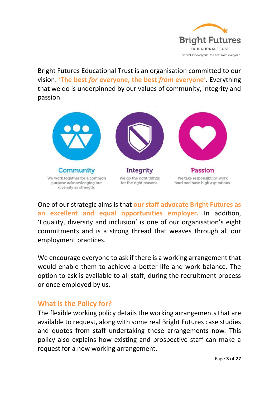

Bright Futures Educational Trust is an organisation committed to our vision: **'The best** *for* **everyone, the best** *from* **everyone**'. Everything that we do is underpinned by our values of community, integrity and passion.



One of our strategic aims is that **our staff advocate Bright Futures as an excellent and equal opportunities employer.** In addition, 'Equality, diversity and inclusion' is one of our organisation's eight commitments and is a strong thread that weaves through all our employment practices.

We encourage everyone to ask if there is a working arrangement that would enable them to achieve a better life and work balance. The option to ask is available to all staff, during the recruitment process or once employed by us.

### **What is the Policy for?**

The flexible working policy details the working arrangements that are available to request, along with some real Bright Futures case studies and quotes from staff undertaking these arrangements now. This policy also explains how existing and prospective staff can make a request for a new working arrangement.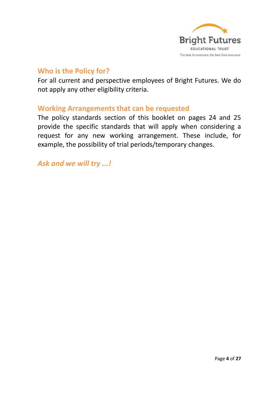

### **Who is the Policy for?**

For all current and perspective employees of Bright Futures. We do not apply any other eligibility criteria.

### **Working Arrangements that can be requested**

The policy standards section of this booklet on pages 24 and 25 provide the specific standards that will apply when considering a request for any new working arrangement. These include, for example, the possibility of trial periods/temporary changes.

*Ask and we will try ...!*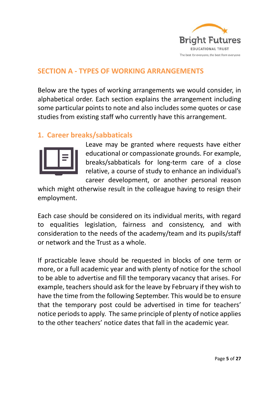

## **SECTION A - TYPES OF WORKING ARRANGEMENTS**

Below are the types of working arrangements we would consider, in alphabetical order. Each section explains the arrangement including some particular points to note and also includes some quotes or case studies from existing staff who currently have this arrangement.

# **1. Career breaks/sabbaticals**



Leave may be granted where requests have either educational or compassionate grounds. For example, breaks/sabbaticals for long-term care of a close relative, a course of study to enhance an individual's career development, or another personal reason

which might otherwise result in the colleague having to resign their employment.

Each case should be considered on its individual merits, with regard to equalities legislation, fairness and consistency, and with consideration to the needs of the academy/team and its pupils/staff or network and the Trust as a whole.

If practicable leave should be requested in blocks of one term or more, or a full academic year and with plenty of notice for the school to be able to advertise and fill the temporary vacancy that arises. For example, teachers should ask for the leave by February if they wish to have the time from the following September. This would be to ensure that the temporary post could be advertised in time for teachers' notice periods to apply. The same principle of plenty of notice applies to the other teachers' notice dates that fall in the academic year.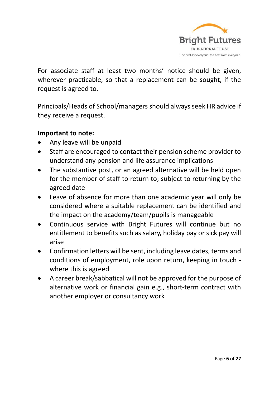

For associate staff at least two months' notice should be given, wherever practicable, so that a replacement can be sought, if the request is agreed to.

Principals/Heads of School/managers should always seek HR advice if they receive a request.

### **Important to note:**

- Any leave will be unpaid
- Staff are encouraged to contact their pension scheme provider to understand any pension and life assurance implications
- The substantive post, or an agreed alternative will be held open for the member of staff to return to; subject to returning by the agreed date
- Leave of absence for more than one academic year will only be considered where a suitable replacement can be identified and the impact on the academy/team/pupils is manageable
- Continuous service with Bright Futures will continue but no entitlement to benefits such as salary, holiday pay or sick pay will arise
- Confirmation letters will be sent, including leave dates, terms and conditions of employment, role upon return, keeping in touch where this is agreed
- A career break/sabbatical will not be approved for the purpose of alternative work or financial gain e.g., short-term contract with another employer or consultancy work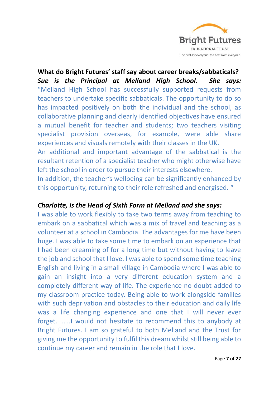

**What do Bright Futures' staff say about career breaks/sabbaticals?** *Sue is the Principal at Melland High School. She says:* "Melland High School has successfully supported requests from teachers to undertake specific sabbaticals. The opportunity to do so has impacted positively on both the individual and the school, as collaborative planning and clearly identified objectives have ensured a mutual benefit for teacher and students; two teachers visiting specialist provision overseas, for example, were able share experiences and visuals remotely with their classes in the UK.

An additional and important advantage of the sabbatical is the resultant retention of a specialist teacher who might otherwise have left the school in order to pursue their interests elsewhere.

In addition, the teacher's wellbeing can be significantly enhanced by this opportunity, returning to their role refreshed and energised. "

## *Charlotte, is the Head of Sixth Form at Melland and she says:*

I was able to work flexibly to take two terms away from teaching to embark on a sabbatical which was a mix of travel and teaching as a volunteer at a school in Cambodia. The advantages for me have been huge. I was able to take some time to embark on an experience that I had been dreaming of for a long time but without having to leave the job and school that I love. I was able to spend some time teaching English and living in a small village in Cambodia where I was able to gain an insight into a very different education system and a completely different way of life. The experience no doubt added to my classroom practice today. Being able to work alongside families with such deprivation and obstacles to their education and daily life was a life changing experience and one that I will never ever forget. …..I would not hesitate to recommend this to anybody at Bright Futures. I am so grateful to both Melland and the Trust for giving me the opportunity to fulfil this dream whilst still being able to continue my career and remain in the role that I love.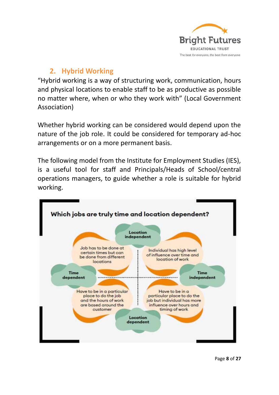

# **2. Hybrid Working**

"Hybrid working is a way of structuring work, communication, hours and physical locations to enable staff to be as productive as possible no matter where, when or who they work with" (Local Government Association)

Whether hybrid working can be considered would depend upon the nature of the job role. It could be considered for temporary ad-hoc arrangements or on a more permanent basis.

The following model from the Institute for Employment Studies (IES), is a useful tool for staff and Principals/Heads of School/central operations managers, to guide whether a role is suitable for hybrid working.

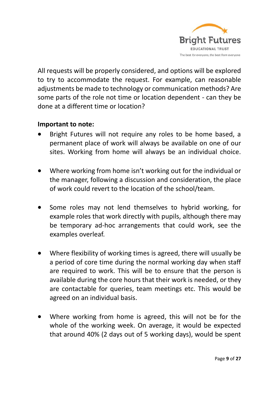

All requests will be properly considered, and options will be explored to try to accommodate the request. For example, can reasonable adjustments be made to technology or communication methods? Are some parts of the role not time or location dependent - can they be done at a different time or location?

### **Important to note:**

- Bright Futures will not require any roles to be home based, a permanent place of work will always be available on one of our sites. Working from home will always be an individual choice.
- Where working from home isn't working out for the individual or the manager, following a discussion and consideration, the place of work could revert to the location of the school/team.
- Some roles may not lend themselves to hybrid working, for example roles that work directly with pupils, although there may be temporary ad-hoc arrangements that could work, see the examples overleaf.
- Where flexibility of working times is agreed, there will usually be a period of core time during the normal working day when staff are required to work. This will be to ensure that the person is available during the core hours that their work is needed, or they are contactable for queries, team meetings etc. This would be agreed on an individual basis.
- Where working from home is agreed, this will not be for the whole of the working week. On average, it would be expected that around 40% (2 days out of 5 working days), would be spent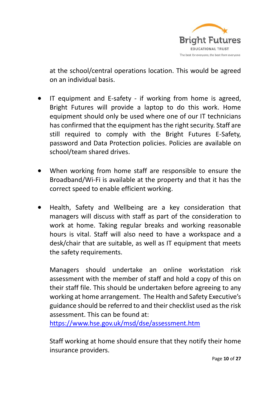

at the school/central operations location. This would be agreed on an individual basis.

- IT equipment and E-safety if working from home is agreed, Bright Futures will provide a laptop to do this work. Home equipment should only be used where one of our IT technicians has confirmed that the equipment has the right security. Staff are still required to comply with the Bright Futures E-Safety. password and Data Protection policies. Policies are available on school/team shared drives.
- When working from home staff are responsible to ensure the Broadband/Wi-Fi is available at the property and that it has the correct speed to enable efficient working.
- Health, Safety and Wellbeing are a key consideration that managers will discuss with staff as part of the consideration to work at home. Taking regular breaks and working reasonable hours is vital. Staff will also need to have a workspace and a desk/chair that are suitable, as well as IT equipment that meets the safety requirements.

Managers should undertake an online workstation risk assessment with the member of staff and hold a copy of this on their staff file. This should be undertaken before agreeing to any working at home arrangement. The Health and Safety Executive's guidance should be referred to and their checklist used as the risk assessment. This can be found at:

<https://www.hse.gov.uk/msd/dse/assessment.htm>

Staff working at home should ensure that they notify their home insurance providers.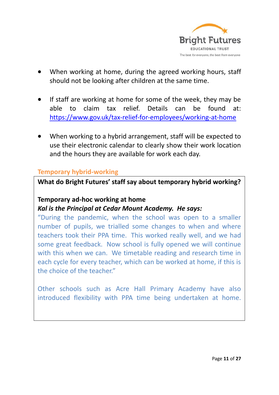

- When working at home, during the agreed working hours, staff should not be looking after children at the same time.
- If staff are working at home for some of the week, they may be able to claim tax relief. Details can be found at: <https://www.gov.uk/tax-relief-for-employees/working-at-home>
- When working to a hybrid arrangement, staff will be expected to use their electronic calendar to clearly show their work location and the hours they are available for work each day.

#### **Temporary hybrid-working**

**What do Bright Futures' staff say about temporary hybrid working?**

#### **Temporary ad-hoc working at home**

### *Kal is the Principal at Cedar Mount Academy. He says:*

"During the pandemic, when the school was open to a smaller number of pupils, we trialled some changes to when and where teachers took their PPA time. This worked really well, and we had some great feedback. Now school is fully opened we will continue with this when we can. We timetable reading and research time in each cycle for every teacher, which can be worked at home, if this is the choice of the teacher"

Other schools such as Acre Hall Primary Academy have also introduced flexibility with PPA time being undertaken at home.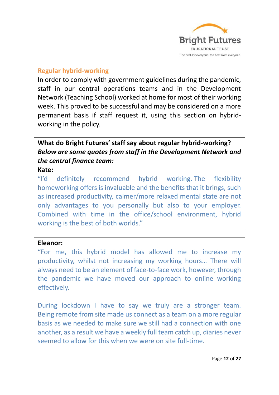

### **Regular hybrid-working**

In order to comply with government guidelines during the pandemic, staff in our central operations teams and in the Development Network (Teaching School) worked at home for most of their working week. This proved to be successful and may be considered on a more permanent basis if staff request it, using this section on hybridworking in the policy.

# **What do Bright Futures' staff say about regular hybrid-working?** *Below are some quotes from staff in the Development Network and the central finance team:*

#### **Kate:**

"I'd definitely recommend hybrid working. The flexibility homeworking offers is invaluable and the benefits that it brings, such as increased productivity, calmer/more relaxed mental state are not only advantages to you personally but also to your employer. Combined with time in the office/school environment, hybrid working is the best of both worlds."

#### **Eleanor:**

"For me, this hybrid model has allowed me to increase my productivity, whilst not increasing my working hours… There will always need to be an element of face-to-face work, however, through the pandemic we have moved our approach to online working effectively.

During lockdown I have to say we truly are a stronger team. Being remote from site made us connect as a team on a more regular basis as we needed to make sure we still had a connection with one another, as a result we have a weekly full team catch up, diaries never seemed to allow for this when we were on site full-time.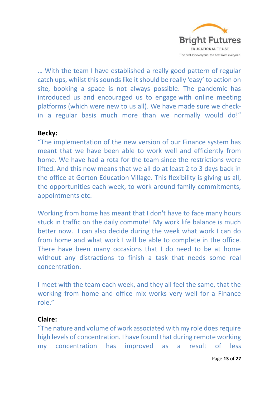

… With the team I have established a really good pattern of regular catch ups, whilst this sounds like it should be really 'easy' to action on site, booking a space is not always possible. The pandemic has introduced us and encouraged us to engage with online meeting platforms (which were new to us all). We have made sure we checkin a regular basis much more than we normally would do!"

#### **Becky:**

"The implementation of the new version of our Finance system has meant that we have been able to work well and efficiently from home. We have had a rota for the team since the restrictions were lifted. And this now means that we all do at least 2 to 3 days back in the office at Gorton Education Village. This flexibility is giving us all, the opportunities each week, to work around family commitments, appointments etc.

Working from home has meant that I don't have to face many hours stuck in traffic on the daily commute! My work life balance is much better now. I can also decide during the week what work I can do from home and what work I will be able to complete in the office. There have been many occasions that I do need to be at home without any distractions to finish a task that needs some real concentration.

I meet with the team each week, and they all feel the same, that the working from home and office mix works very well for a Finance role."

#### **Claire:**

"The nature and volume of work associated with my role does require high levels of concentration. I have found that during remote working my concentration has improved as a result of less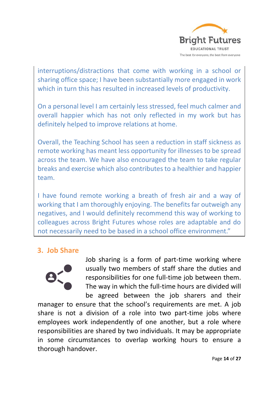

interruptions/distractions that come with working in a school or sharing office space; I have been substantially more engaged in work which in turn this has resulted in increased levels of productivity.

On a personal level I am certainly less stressed, feel much calmer and overall happier which has not only reflected in my work but has definitely helped to improve relations at home.

Overall, the Teaching School has seen a reduction in staff sickness as remote working has meant less opportunity for illnesses to be spread across the team. We have also encouraged the team to take regular breaks and exercise which also contributes to a healthier and happier team.

I have found remote working a breath of fresh air and a way of working that I am thoroughly enjoying. The benefits far outweigh any negatives, and I would definitely recommend this way of working to colleagues across Bright Futures whose roles are adaptable and do not necessarily need to be based in a school office environment."

# **3. Job Share**



Job sharing is a form of part-time working where usually two members of staff share the duties and responsibilities for one full-time job between them. The way in which the full-time hours are divided will be agreed between the job sharers and their

manager to ensure that the school's requirements are met. A job share is not a division of a role into two part-time jobs where employees work independently of one another, but a role where responsibilities are shared by two individuals. It may be appropriate in some circumstances to overlap working hours to ensure a thorough handover.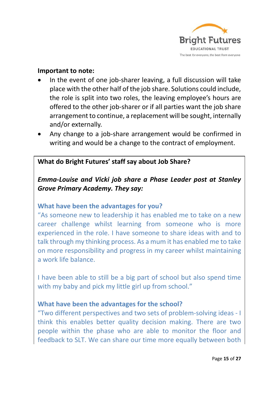

#### **Important to note:**

- In the event of one job-sharer leaving, a full discussion will take place with the other half of the job share. Solutions could include, the role is split into two roles, the leaving employee's hours are offered to the other job-sharer or if all parties want the job share arrangement to continue, a replacement will be sought, internally and/or externally.
- Any change to a job-share arrangement would be confirmed in writing and would be a change to the contract of employment.

### **What do Bright Futures' staff say about Job Share?**

# *Emma-Louise and Vicki job share a Phase Leader post at Stanley Grove Primary Academy. They say:*

### **What have been the advantages for you?**

"As someone new to leadership it has enabled me to take on a new career challenge whilst learning from someone who is more experienced in the role. I have someone to share ideas with and to talk through my thinking process. As a mum it has enabled me to take on more responsibility and progress in my career whilst maintaining a work life balance.

I have been able to still be a big part of school but also spend time with my baby and pick my little girl up from school."

### **What have been the advantages for the school?**

"Two different perspectives and two sets of problem-solving ideas - I think this enables better quality decision making. There are two people within the phase who are able to monitor the floor and feedback to SLT. We can share our time more equally between both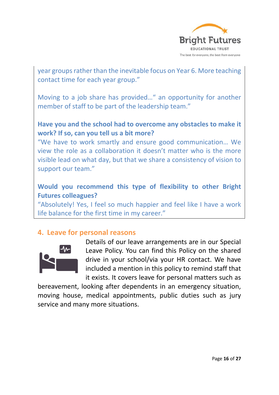

year groups rather than the inevitable focus on Year 6. More teaching contact time for each year group."

Moving to a job share has provided…" an opportunity for another member of staff to be part of the leadership team."

# **Have you and the school had to overcome any obstacles to make it work? If so, can you tell us a bit more?**

"We have to work smartly and ensure good communication… We view the role as a collaboration it doesn't matter who is the more visible lead on what day, but that we share a consistency of vision to support our team."

# **Would you recommend this type of flexibility to other Bright Futures colleagues?**

"Absolutely! Yes, I feel so much happier and feel like I have a work life balance for the first time in my career."

# **4. Leave for personal reasons**



Details of our leave arrangements are in our Special Leave Policy. You can find this Policy on the shared drive in your school/via your HR contact. We have included a mention in this policy to remind staff that it exists. It covers leave for personal matters such as

bereavement, looking after dependents in an emergency situation, moving house, medical appointments, public duties such as jury service and many more situations.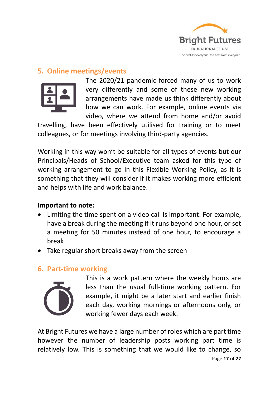

# **5. Online meetings/events**



The 2020/21 pandemic forced many of us to work very differently and some of these new working arrangements have made us think differently about how we can work. For example, online events via video, where we attend from home and/or avoid

travelling, have been effectively utilised for training or to meet colleagues, or for meetings involving third-party agencies.

Working in this way won't be suitable for all types of events but our Principals/Heads of School/Executive team asked for this type of working arrangement to go in this Flexible Working Policy, as it is something that they will consider if it makes working more efficient and helps with life and work balance.

### **Important to note:**

- Limiting the time spent on a video call is important. For example, have a break during the meeting if it runs beyond one hour, or set a meeting for 50 minutes instead of one hour, to encourage a break
- Take regular short breaks away from the screen

# **6. Part-time working**



This is a work pattern where the weekly hours are less than the usual full-time working pattern. For example, it might be a later start and earlier finish each day, working mornings or afternoons only, or working fewer days each week.

Page **17** of **27** At Bright Futures we have a large number of roles which are part time however the number of leadership posts working part time is relatively low. This is something that we would like to change, so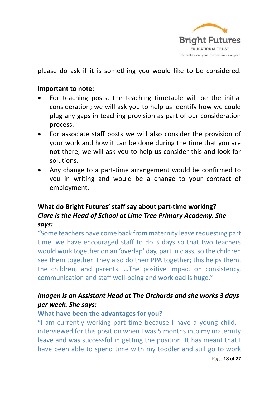

please do ask if it is something you would like to be considered.

#### **Important to note:**

- For teaching posts, the teaching timetable will be the initial consideration; we will ask you to help us identify how we could plug any gaps in teaching provision as part of our consideration process.
- For associate staff posts we will also consider the provision of your work and how it can be done during the time that you are not there; we will ask you to help us consider this and look for solutions.
- Any change to a part-time arrangement would be confirmed to you in writing and would be a change to your contract of employment.

# **What do Bright Futures' staff say about part-time working?** *Clare is the Head of School at Lime Tree Primary Academy. She says:*

"Some teachers have come back from maternity leave requesting part time, we have encouraged staff to do 3 days so that two teachers would work together on an 'overlap' day, part in class, so the children see them together. They also do their PPA together; this helps them, the children, and parents. …The positive impact on consistency, communication and staff well-being and workload is huge."

# *Imogen is an Assistant Head at The Orchards and she works 3 days per week. She says:*

### **What have been the advantages for you?**

"I am currently working part time because I have a young child. I interviewed for this position when I was 5 months into my maternity leave and was successful in getting the position. It has meant that I have been able to spend time with my toddler and still go to work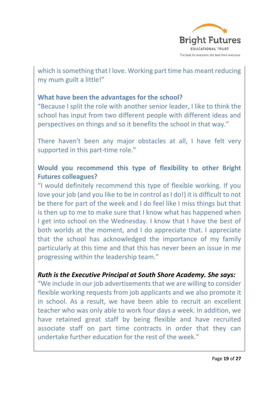

which is something that I love. Working part time has meant reducing my mum guilt a little!"

### **What have been the advantages for the school?**

"Because I split the role with another senior leader, I like to think the school has input from two different people with different ideas and perspectives on things and so it benefits the school in that way."

There haven't been any major obstacles at all, I have felt very supported in this part-time role."

# **Would you recommend this type of flexibility to other Bright Futures colleagues?**

"I would definitely recommend this type of flexible working. If you love your job (and you like to be in control as I do!) it is difficult to not be there for part of the week and I do feel like I miss things but that is then up to me to make sure that I know what has happened when I get into school on the Wednesday. I know that I have the best of both worlds at the moment, and I do appreciate that. I appreciate that the school has acknowledged the importance of my family particularly at this time and that this has never been an issue in me progressing within the leadership team."

### *Ruth is the Executive Principal at South Shore Academy. She says:*

"We include in our job advertisements that we are willing to consider flexible working requests from job applicants and we also promote it in school. As a result, we have been able to recruit an excellent teacher who was only able to work four days a week. In addition, we have retained great staff by being flexible and have recruited associate staff on part time contracts in order that they can undertake further education for the rest of the week."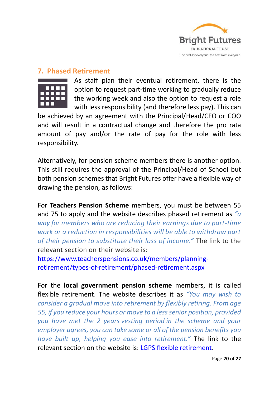

### **7. Phased Retirement**

As staff plan their eventual retirement, there is the option to request part-time working to gradually reduce the working week and also the option to request a role with less responsibility (and therefore less pay). This can

be achieved by an agreement with the Principal/Head/CEO or COO and will result in a contractual change and therefore the pro rata amount of pay and/or the rate of pay for the role with less responsibility.

Alternatively, for pension scheme members there is another option. This still requires the approval of the Principal/Head of School but both pension schemes that Bright Futures offer have a flexible way of drawing the pension, as follows:

For **Teachers Pension Scheme** members, you must be between 55 and 75 to apply and the website describes phased retirement as *"a way for members who are reducing their earnings due to part-time work or a reduction in responsibilities will be able to withdraw part of their pension to substitute their loss of income."* The link to the relevant section on their website is:

[https://www.teacherspensions.co.uk/members/planning](https://www.teacherspensions.co.uk/members/planning-retirement/types-of-retirement/phased-retirement.aspx)[retirement/types-of-retirement/phased-retirement.aspx](https://www.teacherspensions.co.uk/members/planning-retirement/types-of-retirement/phased-retirement.aspx)

For the **local government pension scheme** members, it is called flexible retirement. The website describes it as *"You may wish to consider a gradual move into retirement by flexibly retiring. From age 55, if you reduce your hours or move to a less senior position, provided you have met the 2 years [vesting period](https://www.lgpsmember.org/glossary.php) in the scheme and your employer agrees, you can take some or all of the pension benefits you have built up, helping you ease into retirement."* The link to the relevant section on the website is: [LGPS flexible retirement.](https://www.lgpsmember.org/tol/thinking-leaving-when.php)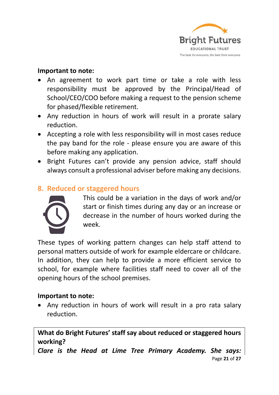

#### **Important to note:**

- An agreement to work part time or take a role with less responsibility must be approved by the Principal/Head of School/CEO/COO before making a request to the pension scheme for phased/flexible retirement.
- Any reduction in hours of work will result in a prorate salary reduction.
- Accepting a role with less responsibility will in most cases reduce the pay band for the role - please ensure you are aware of this before making any application.
- Bright Futures can't provide any pension advice, staff should always consult a professional adviser before making any decisions.

# **8. Reduced or staggered hours**



This could be a variation in the days of work and/or start or finish times during any day or an increase or decrease in the number of hours worked during the week.

These types of working pattern changes can help staff attend to personal matters outside of work for example eldercare or childcare. In addition, they can help to provide a more efficient service to school, for example where facilities staff need to cover all of the opening hours of the school premises.

### **Important to note:**

• Any reduction in hours of work will result in a pro rata salary reduction.

**What do Bright Futures' staff say about reduced or staggered hours working?**

Page **21** of **27** *Clare is the Head at Lime Tree Primary Academy. She says:*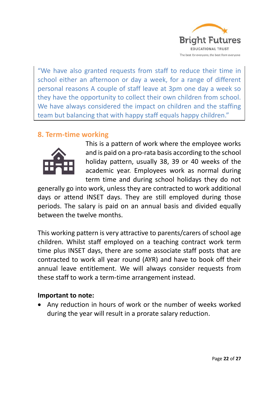

"We have also granted requests from staff to reduce their time in school either an afternoon or day a week, for a range of different personal reasons A couple of staff leave at 3pm one day a week so they have the opportunity to collect their own children from school. We have always considered the impact on children and the staffing team but balancing that with happy staff equals happy children."

# **8. Term-time working**



This is a pattern of work where the employee works and is paid on a pro-rata basis according to the school holiday pattern, usually 38, 39 or 40 weeks of the academic year. Employees work as normal during term time and during school holidays they do not

generally go into work, unless they are contracted to work additional days or attend INSET days. They are still employed during those periods. The salary is paid on an annual basis and divided equally between the twelve months.

This working pattern is very attractive to parents/carers of school age children. Whilst staff employed on a teaching contract work term time plus INSET days, there are some associate staff posts that are contracted to work all year round (AYR) and have to book off their annual leave entitlement. We will always consider requests from these staff to work a term-time arrangement instead.

### **Important to note:**

• Any reduction in hours of work or the number of weeks worked during the year will result in a prorate salary reduction.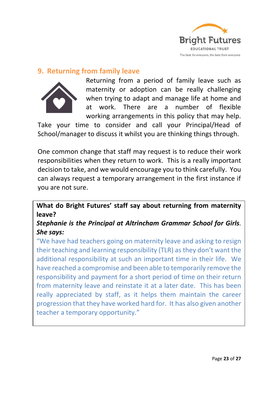

### **9. Returning from family leave**



Returning from a period of family leave such as maternity or adoption can be really challenging when trying to adapt and manage life at home and at work. There are a number of flexible working arrangements in this policy that may help.

Take your time to consider and call your Principal/Head of School/manager to discuss it whilst you are thinking things through.

One common change that staff may request is to reduce their work responsibilities when they return to work. This is a really important decision to take, and we would encourage you to think carefully. You can always request a temporary arrangement in the first instance if you are not sure.

**What do Bright Futures' staff say about returning from maternity leave?**

# *Stephanie is the Principal at Altrincham Grammar School for Girls. She says:*

"We have had teachers going on maternity leave and asking to resign their teaching and learning responsibility (TLR) as they don't want the additional responsibility at such an important time in their life. We have reached a compromise and been able to temporarily remove the responsibility and payment for a short period of time on their return from maternity leave and reinstate it at a later date. This has been really appreciated by staff, as it helps them maintain the career progression that they have worked hard for. It has also given another teacher a temporary opportunity."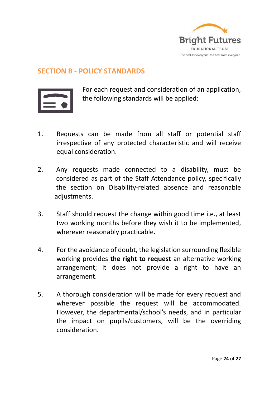

### **SECTION B - POLICY STANDARDS**



For each request and consideration of an application, the following standards will be applied:

- 1. Requests can be made from all staff or potential staff irrespective of any protected characteristic and will receive equal consideration.
- 2. Any requests made connected to a disability, must be considered as part of the Staff Attendance policy, specifically the section on Disability-related absence and reasonable adjustments.
- 3. Staff should request the change within good time i.e., at least two working months before they wish it to be implemented, wherever reasonably practicable.
- 4. For the avoidance of doubt, the legislation surrounding flexible working provides **the right to request** an alternative working arrangement; it does not provide a right to have an arrangement.
- 5. A thorough consideration will be made for every request and wherever possible the request will be accommodated. However, the departmental/school's needs, and in particular the impact on pupils/customers, will be the overriding consideration.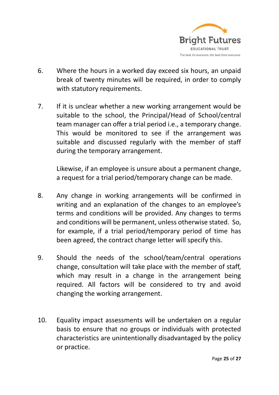

- 6. Where the hours in a worked day exceed six hours, an unpaid break of twenty minutes will be required, in order to comply with statutory requirements.
- 7. If it is unclear whether a new working arrangement would be suitable to the school, the Principal/Head of School/central team manager can offer a trial period i.e., a temporary change. This would be monitored to see if the arrangement was suitable and discussed regularly with the member of staff during the temporary arrangement.

Likewise, if an employee is unsure about a permanent change, a request for a trial period/temporary change can be made.

- 8. Any change in working arrangements will be confirmed in writing and an explanation of the changes to an employee's terms and conditions will be provided. Any changes to terms and conditions will be permanent, unless otherwise stated. So, for example, if a trial period/temporary period of time has been agreed, the contract change letter will specify this.
- 9. Should the needs of the school/team/central operations change, consultation will take place with the member of staff, which may result in a change in the arrangement being required. All factors will be considered to try and avoid changing the working arrangement.
- 10. Equality impact assessments will be undertaken on a regular basis to ensure that no groups or individuals with protected characteristics are unintentionally disadvantaged by the policy or practice.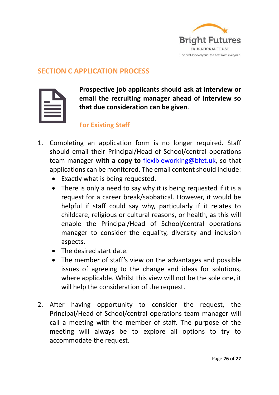

### **SECTION C APPLICATION PROCESS**

**Prospective job applicants should ask at interview or email the recruiting manager ahead of interview so that due consideration can be given**.

### **For Existing Staff**

- 1. Completing an application form is no longer required. Staff should email their Principal/Head of School/central operations team manager **with a copy to** [flexibleworking@bfet.uk,](mailto:flexibleworking@bfet.uk) so that applications can be monitored. The email content should include:
	- Exactly what is being requested.
	- There is only a need to say why it is being requested if it is a request for a career break/sabbatical. However, it would be helpful if staff could say why, particularly if it relates to childcare, religious or cultural reasons, or health, as this will enable the Principal/Head of School/central operations manager to consider the equality, diversity and inclusion aspects.
	- The desired start date.
	- The member of staff's view on the advantages and possible issues of agreeing to the change and ideas for solutions, where applicable. Whilst this view will not be the sole one, it will help the consideration of the request.
- 2. After having opportunity to consider the request, the Principal/Head of School/central operations team manager will call a meeting with the member of staff. The purpose of the meeting will always be to explore all options to try to accommodate the request.